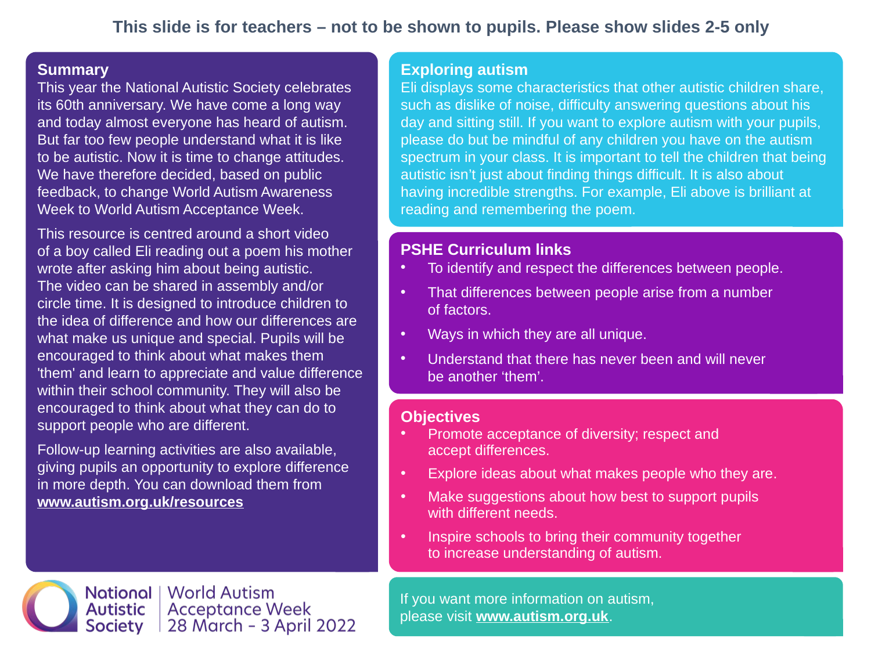#### **Summary**

This year the National Autistic Society celebrates its 60th anniversary. We have come a long way and today almost everyone has heard of autism. But far too few people understand what it is like to be autistic. Now it is time to change attitudes. We have therefore decided, based on public feedback, to change World Autism Awareness Week to World Autism Acceptance Week.

This resource is centred around a short video of a boy called Eli reading out a poem his mother wrote after asking him about being autistic. The video can be shared in assembly and/or circle time. It is designed to introduce children to the idea of difference and how our differences are what make us unique and special. Pupils will be encouraged to think about what makes them 'them' and learn to appreciate and value difference within their school community. They will also be encouraged to think about what they can do to support people who are different.

Follow-up learning activities are also available, giving pupils an opportunity to explore difference in more depth. You can download them from **www.autism.org.uk/resources**

#### **Exploring autism**

Eli displays some characteristics that other autistic children share, such as dislike of noise, difficulty answering questions about his day and sitting still. If you want to explore autism with your pupils, please do but be mindful of any children you have on the autism spectrum in your class. It is important to tell the children that being autistic isn't just about finding things difficult. It is also about having incredible strengths. For example, Eli above is brilliant at reading and remembering the poem.

### **PSHE Curriculum links**

- To identify and respect the differences between people.
- That differences between people arise from a number of factors.
- Ways in which they are all unique.
- Understand that there has never been and will never be another 'them'.

#### **Objectives**

- Promote acceptance of diversity; respect and accept differences.
- Explore ideas about what makes people who they are.
- Make suggestions about how best to support pupils with different needs.
- Inspire schools to bring their community together to increase understanding of autism.

If you want more information on autism, please visit **www.autism.org.uk**.

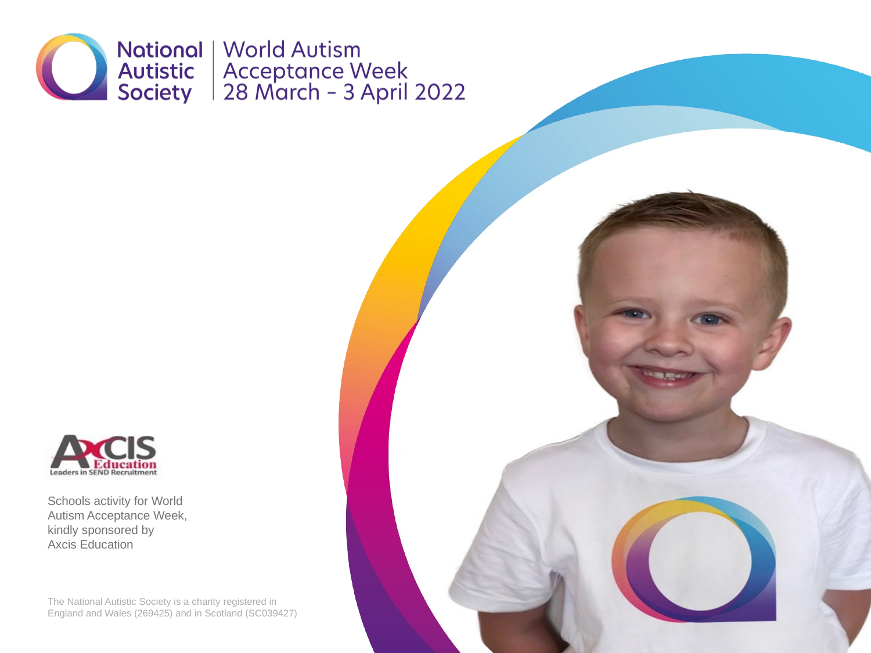



Schools activity for World Autism Acceptance Week, kindly sponsored by Axcis Education

The National Autistic Society is a charity registered in England and Wales (269425) and in Scotland (SC039427)

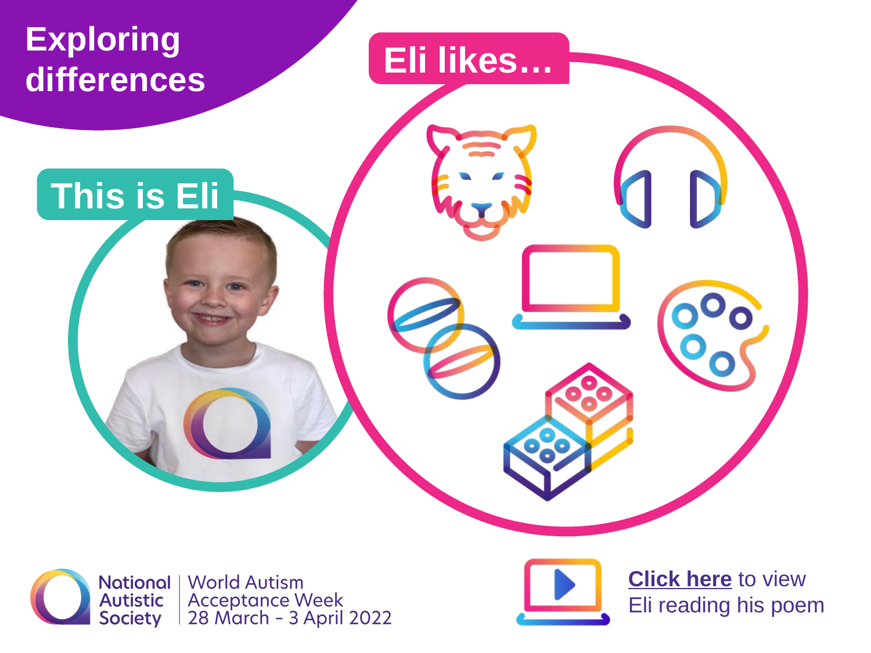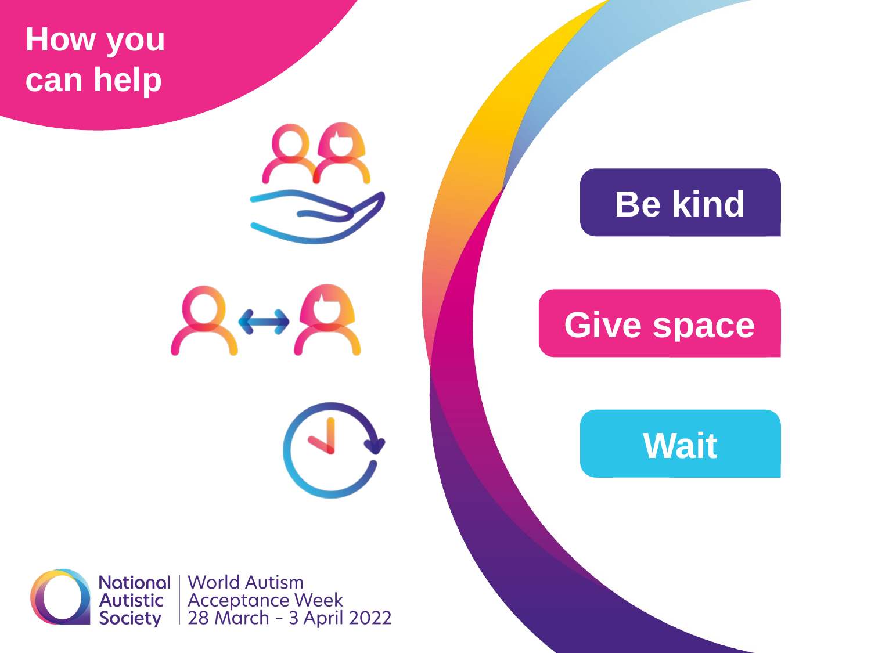**How you can help**

**Be kind**

# **Give space**

**Wait**

**National | World Autism** Acceptance Week<br>28 March - 3 April 2022 **Autistic** Society